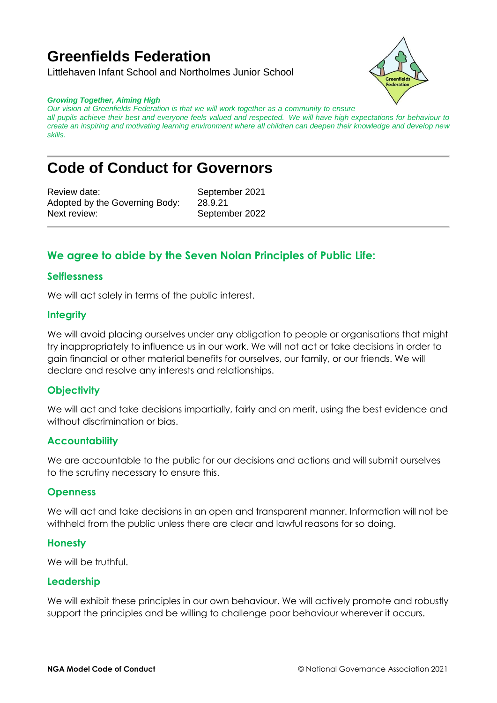# **Greenfields Federation**

Littlehaven Infant School and Northolmes Junior School



#### *Growing Together, Aiming High*

*Our vision at Greenfields Federation is that we will work together as a community to ensure all pupils achieve their best and everyone feels valued and respected. We will have high expectations for behaviour to create an inspiring and motivating learning environment where all children can deepen their knowledge and develop new skills.*

## **Code of Conduct for Governors**

Review date: September 2021 Adopted by the Governing Body: 28.9.21 Next review: September 2022

## **We agree to abide by the Seven Nolan Principles of Public Life:**

#### **Selflessness**

We will act solely in terms of the public interest.

#### **Integrity**

We will avoid placing ourselves under any obligation to people or organisations that might try inappropriately to influence us in our work. We will not act or take decisions in order to gain financial or other material benefits for ourselves, our family, or our friends. We will declare and resolve any interests and relationships.

### **Objectivity**

We will act and take decisions impartially, fairly and on merit, using the best evidence and without discrimination or bias.

#### **Accountability**

We are accountable to the public for our decisions and actions and will submit ourselves to the scrutiny necessary to ensure this.

#### **Openness**

We will act and take decisions in an open and transparent manner. Information will not be withheld from the public unless there are clear and lawful reasons for so doing.

#### **Honesty**

We will be truthful.

#### **Leadership**

We will exhibit these principles in our own behaviour. We will actively promote and robustly support the principles and be willing to challenge poor behaviour wherever it occurs.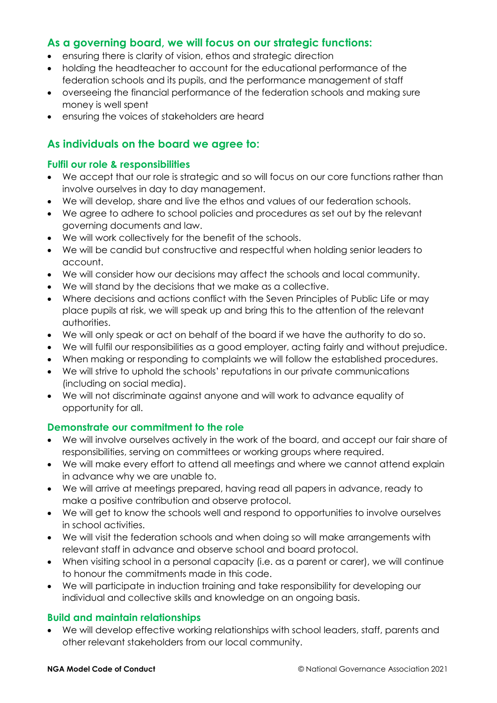## **As a governing board, we will focus on our strategic functions:**

- ensuring there is clarity of vision, ethos and strategic direction
- holding the headteacher to account for the educational performance of the federation schools and its pupils, and the performance management of staff
- overseeing the financial performance of the federation schools and making sure money is well spent
- ensuring the voices of stakeholders are heard

## **As individuals on the board we agree to:**

### **Fulfil our role & responsibilities**

- We accept that our role is strategic and so will focus on our core functions rather than involve ourselves in day to day management.
- We will develop, share and live the ethos and values of our federation schools.
- We agree to adhere to school policies and procedures as set out by the relevant governing documents and law.
- We will work collectively for the benefit of the schools.
- We will be candid but constructive and respectful when holding senior leaders to account.
- We will consider how our decisions may affect the schools and local community.
- We will stand by the decisions that we make as a collective.
- Where decisions and actions conflict with the Seven Principles of Public Life or may place pupils at risk, we will speak up and bring this to the attention of the relevant authorities.
- We will only speak or act on behalf of the board if we have the authority to do so.
- We will fulfil our responsibilities as a good employer, acting fairly and without prejudice.
- When making or responding to complaints we will follow the established procedures.
- We will strive to uphold the schools' reputations in our private communications (including on social media).
- We will not discriminate against anyone and will work to advance equality of opportunity for all.

## **Demonstrate our commitment to the role**

- We will involve ourselves actively in the work of the board, and accept our fair share of responsibilities, serving on committees or working groups where required.
- We will make every effort to attend all meetings and where we cannot attend explain in advance why we are unable to.
- We will arrive at meetings prepared, having read all papers in advance, ready to make a positive contribution and observe protocol.
- We will get to know the schools well and respond to opportunities to involve ourselves in school activities.
- We will visit the federation schools and when doing so will make arrangements with relevant staff in advance and observe school and board protocol.
- When visiting school in a personal capacity (i.e. as a parent or carer), we will continue to honour the commitments made in this code.
- We will participate in induction training and take responsibility for developing our individual and collective skills and knowledge on an ongoing basis.

## **Build and maintain relationships**

 We will develop effective working relationships with school leaders, staff, parents and other relevant stakeholders from our local community.